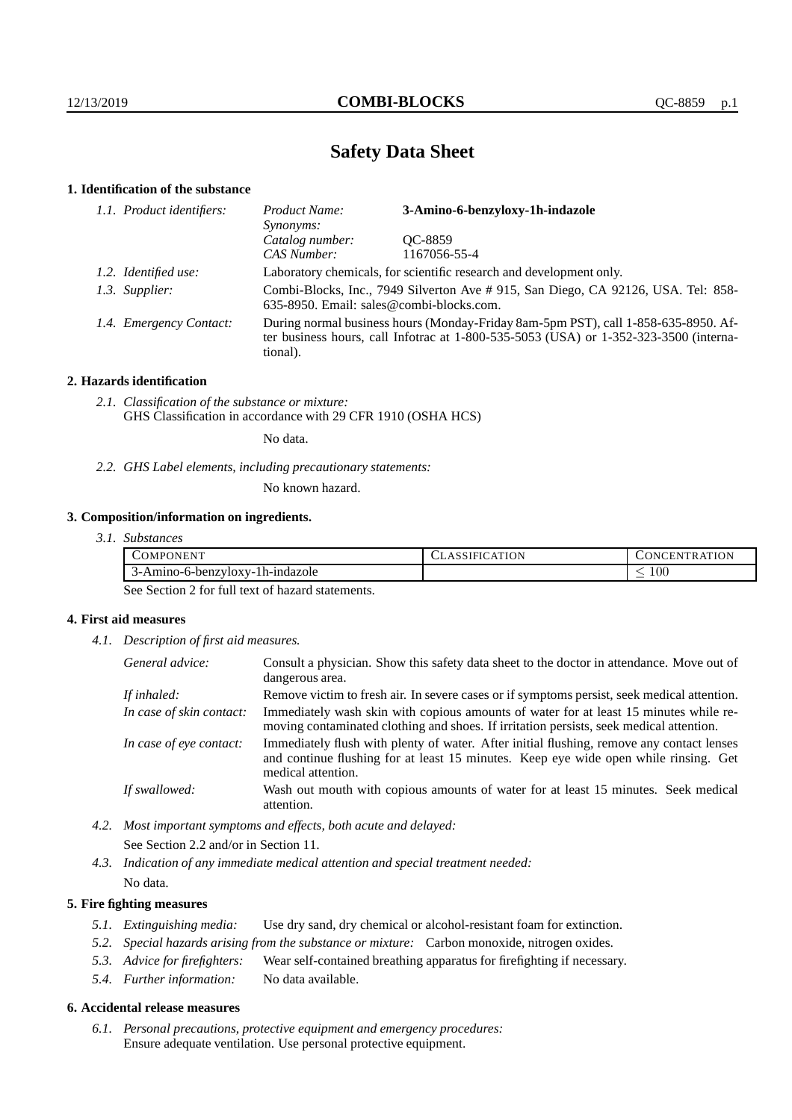# **Safety Data Sheet**

# **1. Identification of the substance**

| 1.1. Product identifiers: | Product Name:<br>Synonyms:                                                                                                                                                                  | 3-Amino-6-benzyloxy-1h-indazole |  |
|---------------------------|---------------------------------------------------------------------------------------------------------------------------------------------------------------------------------------------|---------------------------------|--|
|                           | Catalog number:                                                                                                                                                                             | OC-8859                         |  |
|                           | CAS Number:                                                                                                                                                                                 | 1167056-55-4                    |  |
| 1.2. Identified use:      | Laboratory chemicals, for scientific research and development only.                                                                                                                         |                                 |  |
| 1.3. Supplier:            | Combi-Blocks, Inc., 7949 Silverton Ave # 915, San Diego, CA 92126, USA. Tel: 858-<br>635-8950. Email: sales@combi-blocks.com.                                                               |                                 |  |
| 1.4. Emergency Contact:   | During normal business hours (Monday-Friday 8am-5pm PST), call 1-858-635-8950. Af-<br>ter business hours, call Infotrac at $1-800-535-5053$ (USA) or $1-352-323-3500$ (interna-<br>tional). |                                 |  |

# **2. Hazards identification**

*2.1. Classification of the substance or mixture:* GHS Classification in accordance with 29 CFR 1910 (OSHA HCS)

No data.

*2.2. GHS Label elements, including precautionary statements:*

No known hazard.

# **3. Composition/information on ingredients.**

| <b>APONENT</b><br>COMF          | ATION<br>``SIFIU.<br>$\Delta$ | ATION<br>TRA<br>$\cup$ ONL $^{\circ}$<br>ACEN. |
|---------------------------------|-------------------------------|------------------------------------------------|
| 3-Amino-6-benzyloxy-1h-indazole |                               | $100\,$<br>-                                   |

See Section 2 for full text of hazard statements.

# **4. First aid measures**

*4.1. Description of first aid measures.*

| General advice:          | Consult a physician. Show this safety data sheet to the doctor in attendance. Move out of<br>dangerous area.                                                                                            |
|--------------------------|---------------------------------------------------------------------------------------------------------------------------------------------------------------------------------------------------------|
| If inhaled:              | Remove victim to fresh air. In severe cases or if symptoms persist, seek medical attention.                                                                                                             |
| In case of skin contact: | Immediately wash skin with copious amounts of water for at least 15 minutes while re-<br>moving contaminated clothing and shoes. If irritation persists, seek medical attention.                        |
| In case of eye contact:  | Immediately flush with plenty of water. After initial flushing, remove any contact lenses<br>and continue flushing for at least 15 minutes. Keep eye wide open while rinsing. Get<br>medical attention. |
| If swallowed:            | Wash out mouth with copious amounts of water for at least 15 minutes. Seek medical<br>attention.                                                                                                        |

*4.2. Most important symptoms and effects, both acute and delayed:* See Section 2.2 and/or in Section 11.

*4.3. Indication of any immediate medical attention and special treatment needed:* No data.

## **5. Fire fighting measures**

- *5.1. Extinguishing media:* Use dry sand, dry chemical or alcohol-resistant foam for extinction.
- *5.2. Special hazards arising from the substance or mixture:* Carbon monoxide, nitrogen oxides.
- *5.3. Advice for firefighters:* Wear self-contained breathing apparatus for firefighting if necessary.
- *5.4. Further information:* No data available.

## **6. Accidental release measures**

*6.1. Personal precautions, protective equipment and emergency procedures:* Ensure adequate ventilation. Use personal protective equipment.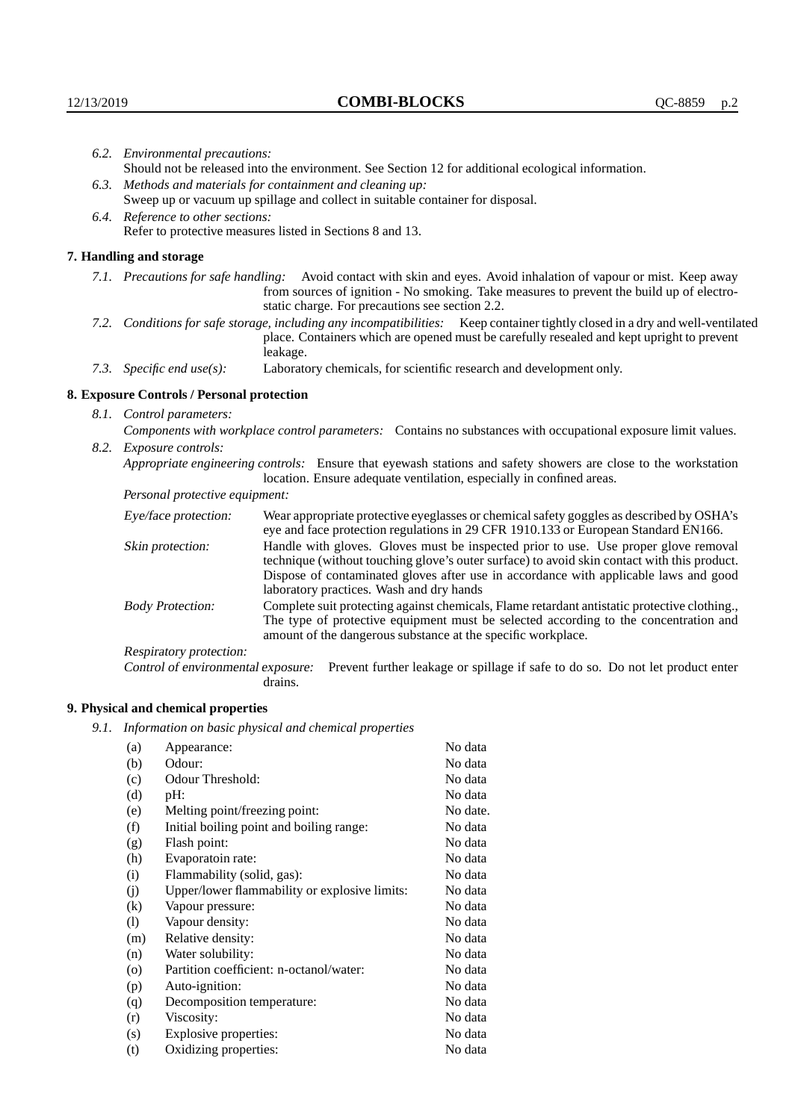| 6.2. Environmental precautions: |                                                                                                                                                                                                                                                                    |                                                                                                                                                                                                                                                                                                                        |  |  |  |
|---------------------------------|--------------------------------------------------------------------------------------------------------------------------------------------------------------------------------------------------------------------------------------------------------------------|------------------------------------------------------------------------------------------------------------------------------------------------------------------------------------------------------------------------------------------------------------------------------------------------------------------------|--|--|--|
|                                 | Should not be released into the environment. See Section 12 for additional ecological information.                                                                                                                                                                 |                                                                                                                                                                                                                                                                                                                        |  |  |  |
|                                 | 6.3. Methods and materials for containment and cleaning up:                                                                                                                                                                                                        |                                                                                                                                                                                                                                                                                                                        |  |  |  |
|                                 | Sweep up or vacuum up spillage and collect in suitable container for disposal.                                                                                                                                                                                     |                                                                                                                                                                                                                                                                                                                        |  |  |  |
|                                 | 6.4. Reference to other sections:                                                                                                                                                                                                                                  |                                                                                                                                                                                                                                                                                                                        |  |  |  |
|                                 | Refer to protective measures listed in Sections 8 and 13.                                                                                                                                                                                                          |                                                                                                                                                                                                                                                                                                                        |  |  |  |
|                                 | 7. Handling and storage                                                                                                                                                                                                                                            |                                                                                                                                                                                                                                                                                                                        |  |  |  |
|                                 | 7.1. Precautions for safe handling: Avoid contact with skin and eyes. Avoid inhalation of vapour or mist. Keep away<br>from sources of ignition - No smoking. Take measures to prevent the build up of electro-<br>static charge. For precautions see section 2.2. |                                                                                                                                                                                                                                                                                                                        |  |  |  |
|                                 |                                                                                                                                                                                                                                                                    | 7.2. Conditions for safe storage, including any incompatibilities: Keep container tightly closed in a dry and well-ventilated<br>place. Containers which are opened must be carefully resealed and kept upright to prevent<br>leakage.                                                                                 |  |  |  |
|                                 | 7.3. Specific end use(s):                                                                                                                                                                                                                                          | Laboratory chemicals, for scientific research and development only.                                                                                                                                                                                                                                                    |  |  |  |
|                                 | 8. Exposure Controls / Personal protection                                                                                                                                                                                                                         |                                                                                                                                                                                                                                                                                                                        |  |  |  |
|                                 | 8.1. Control parameters:                                                                                                                                                                                                                                           |                                                                                                                                                                                                                                                                                                                        |  |  |  |
|                                 | Components with workplace control parameters: Contains no substances with occupational exposure limit values.                                                                                                                                                      |                                                                                                                                                                                                                                                                                                                        |  |  |  |
|                                 | 8.2. Exposure controls:                                                                                                                                                                                                                                            |                                                                                                                                                                                                                                                                                                                        |  |  |  |
|                                 |                                                                                                                                                                                                                                                                    | Appropriate engineering controls: Ensure that eyewash stations and safety showers are close to the workstation<br>location. Ensure adequate ventilation, especially in confined areas.                                                                                                                                 |  |  |  |
|                                 | Personal protective equipment:                                                                                                                                                                                                                                     |                                                                                                                                                                                                                                                                                                                        |  |  |  |
|                                 | Eye/face protection:                                                                                                                                                                                                                                               | Wear appropriate protective eyeglasses or chemical safety goggles as described by OSHA's<br>eye and face protection regulations in 29 CFR 1910.133 or European Standard EN166.                                                                                                                                         |  |  |  |
|                                 | Skin protection:                                                                                                                                                                                                                                                   | Handle with gloves. Gloves must be inspected prior to use. Use proper glove removal<br>technique (without touching glove's outer surface) to avoid skin contact with this product.<br>Dispose of contaminated gloves after use in accordance with applicable laws and good<br>laboratory practices. Wash and dry hands |  |  |  |
|                                 | <b>Body Protection:</b>                                                                                                                                                                                                                                            | Complete suit protecting against chemicals, Flame retardant antistatic protective clothing.,<br>The type of protective equipment must be selected according to the concentration and<br>amount of the dangerous substance at the specific workplace.                                                                   |  |  |  |
|                                 | Respiratory protection:                                                                                                                                                                                                                                            |                                                                                                                                                                                                                                                                                                                        |  |  |  |

Respiratory protection:

Control of environmental exposure: Prevent further leakage or spillage if safe to do so. Do not let product enter drains.

# **9. Physical and chemical properties**

*9.1. Information on basic physical and chemical properties*

| (a)                        | Appearance:                                   | No data  |
|----------------------------|-----------------------------------------------|----------|
| (b)                        | Odour:                                        | No data  |
| (c)                        | Odour Threshold:                              | No data  |
| (d)                        | pH:                                           | No data  |
| (e)                        | Melting point/freezing point:                 | No date. |
| (f)                        | Initial boiling point and boiling range:      | No data  |
| (g)                        | Flash point:                                  | No data  |
| (h)                        | Evaporatoin rate:                             | No data  |
| (i)                        | Flammability (solid, gas):                    | No data  |
| (j)                        | Upper/lower flammability or explosive limits: | No data  |
| $\left( k\right)$          | Vapour pressure:                              | No data  |
| $\left( \mathrm{l}\right)$ | Vapour density:                               | No data  |
| (m)                        | Relative density:                             | No data  |
| (n)                        | Water solubility:                             | No data  |
| $\circ$                    | Partition coefficient: n-octanol/water:       | No data  |
| (p)                        | Auto-ignition:                                | No data  |
| (q)                        | Decomposition temperature:                    | No data  |
| (r)                        | Viscosity:                                    | No data  |
| (s)                        | Explosive properties:                         | No data  |
| (t)                        | Oxidizing properties:                         | No data  |